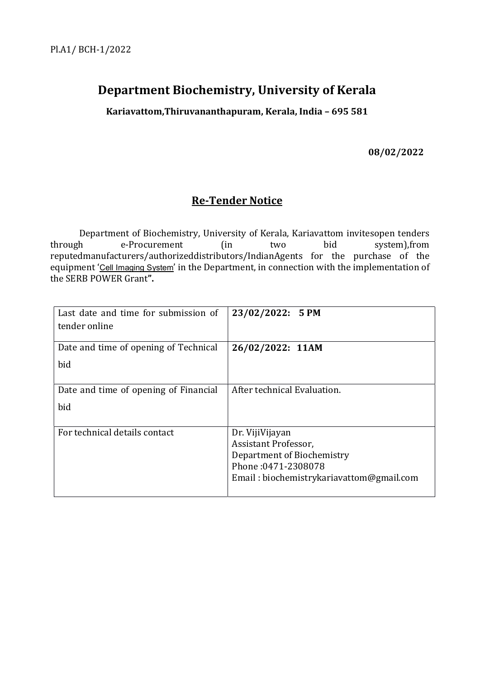## Department Biochemistry, University of Kerala

Kariavattom,Thiruvananthapuram, Kerala, India – 695 581

08/02/2022

## Re-Tender Notice

 Department of Biochemistry, University of Kerala, Kariavattom invitesopen tenders through e-Procurement (in two bid system),from reputedmanufacturers/authorizeddistributors/IndianAgents for the purchase of the equipment 'Cell Imaging System' in the Department, in connection with the implementation of the SERB POWER Grant".

| Last date and time for submission of<br>tender online | 23/02/2022: 5 PM                                  |
|-------------------------------------------------------|---------------------------------------------------|
| Date and time of opening of Technical                 | 26/02/2022: 11AM                                  |
| bid                                                   |                                                   |
| Date and time of opening of Financial                 | After technical Evaluation.                       |
| bid                                                   |                                                   |
| For technical details contact                         | Dr. Viji Vijayan                                  |
|                                                       | Assistant Professor,                              |
|                                                       | Department of Biochemistry<br>Phone: 0471-2308078 |
|                                                       | Email: biochemistrykariavattom@gmail.com          |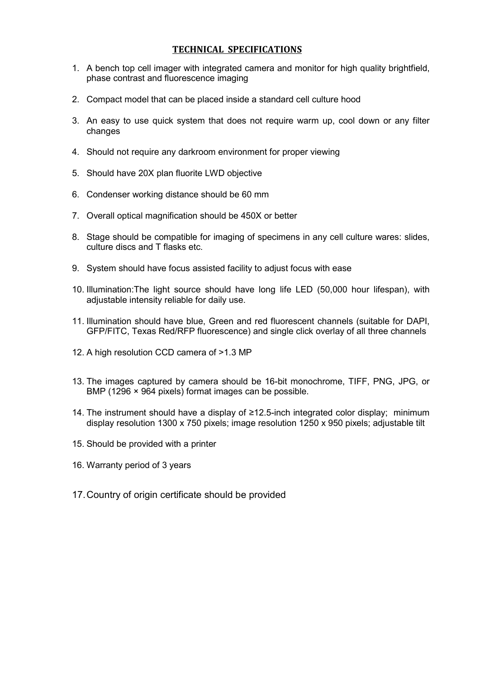#### TECHNICAL SPECIFICATIONS

- 1. A bench top cell imager with integrated camera and monitor for high quality brightfield, phase contrast and fluorescence imaging
- 2. Compact model that can be placed inside a standard cell culture hood
- 3. An easy to use quick system that does not require warm up, cool down or any filter changes
- 4. Should not require any darkroom environment for proper viewing
- 5. Should have 20X plan fluorite LWD objective
- 6. Condenser working distance should be 60 mm
- 7. Overall optical magnification should be 450X or better
- 8. Stage should be compatible for imaging of specimens in any cell culture wares: slides, culture discs and T flasks etc.
- 9. System should have focus assisted facility to adjust focus with ease
- 10. Illumination:The light source should have long life LED (50,000 hour lifespan), with adjustable intensity reliable for daily use.
- 11. Illumination should have blue, Green and red fluorescent channels (suitable for DAPI, GFP/FITC, Texas Red/RFP fluorescence) and single click overlay of all three channels
- 12. A high resolution CCD camera of >1.3 MP
- 13. The images captured by camera should be 16-bit monochrome, TIFF, PNG, JPG, or BMP (1296 × 964 pixels) format images can be possible.
- 14. The instrument should have a display of ≥12.5-inch integrated color display; minimum display resolution 1300 x 750 pixels; image resolution 1250 x 950 pixels; adjustable tilt
- 15. Should be provided with a printer
- 16. Warranty period of 3 years
- 17. Country of origin certificate should be provided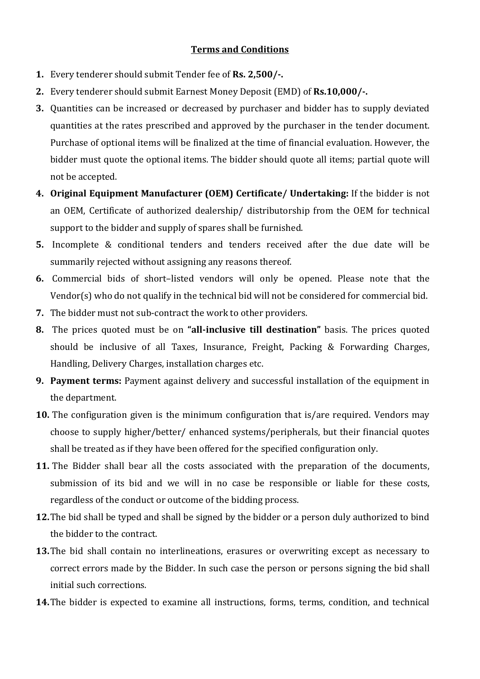### Terms and Conditions

- 1. Every tenderer should submit Tender fee of Rs. 2,500/-.
- 2. Every tenderer should submit Earnest Money Deposit (EMD) of Rs.10,000/-.
- 3. Quantities can be increased or decreased by purchaser and bidder has to supply deviated quantities at the rates prescribed and approved by the purchaser in the tender document. Purchase of optional items will be finalized at the time of financial evaluation. However, the bidder must quote the optional items. The bidder should quote all items; partial quote will not be accepted.
- 4. Original Equipment Manufacturer (OEM) Certificate/ Undertaking: If the bidder is not an OEM, Certificate of authorized dealership/ distributorship from the OEM for technical support to the bidder and supply of spares shall be furnished.
- 5. Incomplete & conditional tenders and tenders received after the due date will be summarily rejected without assigning any reasons thereof.
- 6. Commercial bids of short–listed vendors will only be opened. Please note that the Vendor(s) who do not qualify in the technical bid will not be considered for commercial bid.
- 7. The bidder must not sub-contract the work to other providers.
- 8. The prices quoted must be on "all-inclusive till destination" basis. The prices quoted should be inclusive of all Taxes, Insurance, Freight, Packing & Forwarding Charges, Handling, Delivery Charges, installation charges etc.
- 9. Payment terms: Payment against delivery and successful installation of the equipment in the department.
- 10. The configuration given is the minimum configuration that is/are required. Vendors may choose to supply higher/better/ enhanced systems/peripherals, but their financial quotes shall be treated as if they have been offered for the specified configuration only.
- 11. The Bidder shall bear all the costs associated with the preparation of the documents, submission of its bid and we will in no case be responsible or liable for these costs, regardless of the conduct or outcome of the bidding process.
- 12. The bid shall be typed and shall be signed by the bidder or a person duly authorized to bind the bidder to the contract.
- 13. The bid shall contain no interlineations, erasures or overwriting except as necessary to correct errors made by the Bidder. In such case the person or persons signing the bid shall initial such corrections.
- 14.The bidder is expected to examine all instructions, forms, terms, condition, and technical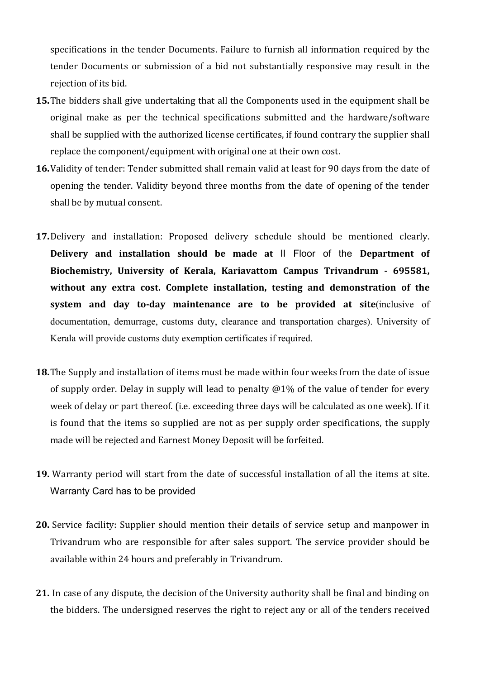specifications in the tender Documents. Failure to furnish all information required by the tender Documents or submission of a bid not substantially responsive may result in the rejection of its bid.

- 15.The bidders shall give undertaking that all the Components used in the equipment shall be original make as per the technical specifications submitted and the hardware/software shall be supplied with the authorized license certificates, if found contrary the supplier shall replace the component/equipment with original one at their own cost.
- 16.Validity of tender: Tender submitted shall remain valid at least for 90 days from the date of opening the tender. Validity beyond three months from the date of opening of the tender shall be by mutual consent.
- 17.Delivery and installation: Proposed delivery schedule should be mentioned clearly. Delivery and installation should be made at II Floor of the Department of Biochemistry, University of Kerala, Kariavattom Campus Trivandrum - 695581, without any extra cost. Complete installation, testing and demonstration of the system and day to-day maintenance are to be provided at site (inclusive of documentation, demurrage, customs duty, clearance and transportation charges). University of Kerala will provide customs duty exemption certificates if required.
- 18. The Supply and installation of items must be made within four weeks from the date of issue of supply order. Delay in supply will lead to penalty @1% of the value of tender for every week of delay or part thereof. (i.e. exceeding three days will be calculated as one week). If it is found that the items so supplied are not as per supply order specifications, the supply made will be rejected and Earnest Money Deposit will be forfeited.
- 19. Warranty period will start from the date of successful installation of all the items at site. Warranty Card has to be provided
- 20. Service facility: Supplier should mention their details of service setup and manpower in Trivandrum who are responsible for after sales support. The service provider should be available within 24 hours and preferably in Trivandrum.
- 21. In case of any dispute, the decision of the University authority shall be final and binding on the bidders. The undersigned reserves the right to reject any or all of the tenders received